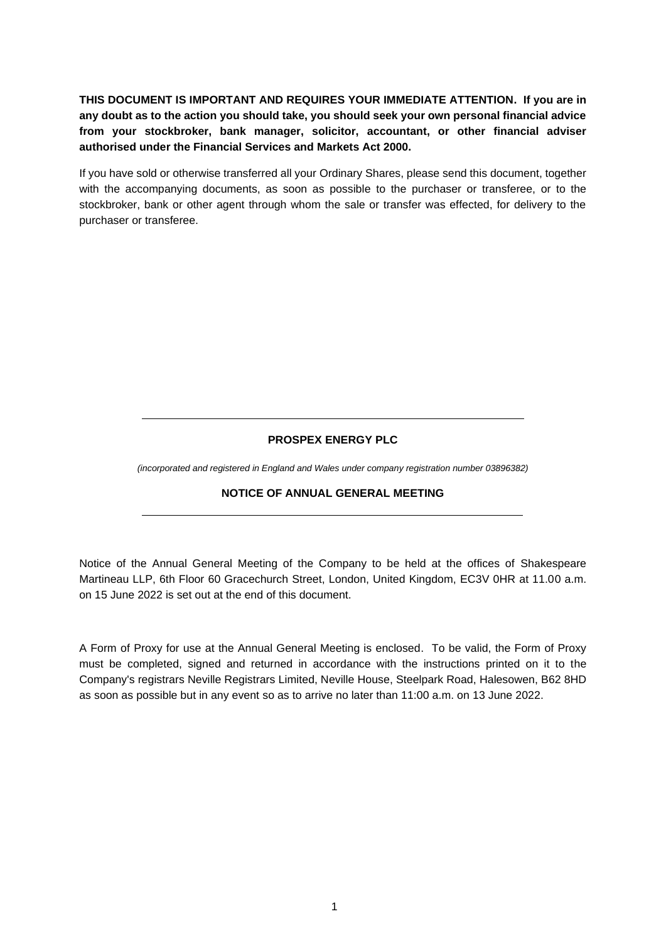**THIS DOCUMENT IS IMPORTANT AND REQUIRES YOUR IMMEDIATE ATTENTION. If you are in any doubt as to the action you should take, you should seek your own personal financial advice from your stockbroker, bank manager, solicitor, accountant, or other financial adviser authorised under the Financial Services and Markets Act 2000.**

If you have sold or otherwise transferred all your Ordinary Shares, please send this document, together with the accompanying documents, as soon as possible to the purchaser or transferee, or to the stockbroker, bank or other agent through whom the sale or transfer was effected, for delivery to the purchaser or transferee.

# **PROSPEX ENERGY PLC**

*(incorporated and registered in England and Wales under company registration number 03896382)*

#### **NOTICE OF ANNUAL GENERAL MEETING**

Notice of the Annual General Meeting of the Company to be held at the offices of Shakespeare Martineau LLP, 6th Floor 60 Gracechurch Street, London, United Kingdom, EC3V 0HR at 11.00 a.m. on 15 June 2022 is set out at the end of this document.

A Form of Proxy for use at the Annual General Meeting is enclosed. To be valid, the Form of Proxy must be completed, signed and returned in accordance with the instructions printed on it to the Company's registrars Neville Registrars Limited, Neville House, Steelpark Road, Halesowen, B62 8HD as soon as possible but in any event so as to arrive no later than 11:00 a.m. on 13 June 2022.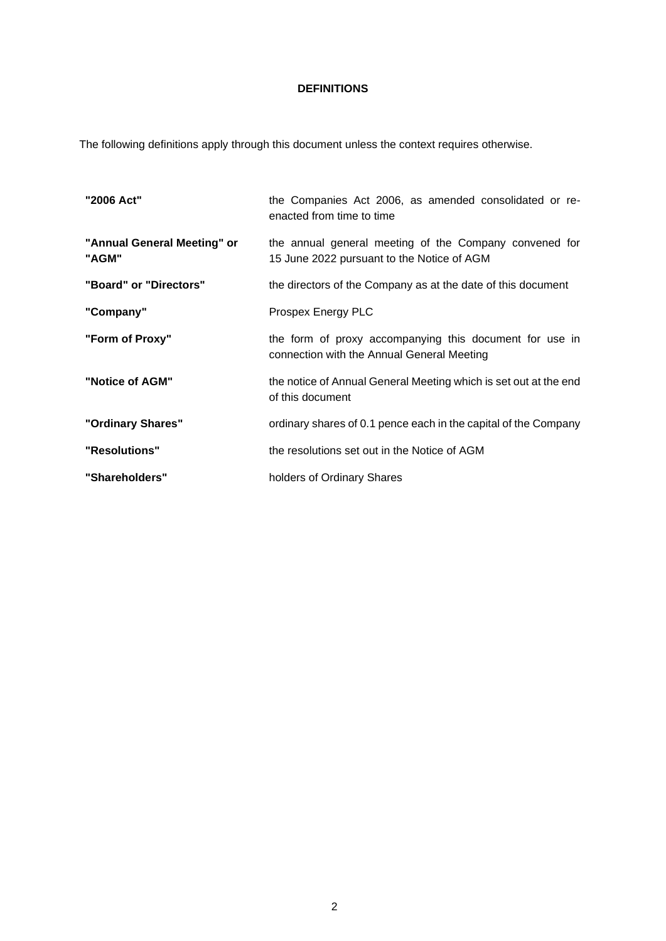# **DEFINITIONS**

The following definitions apply through this document unless the context requires otherwise.

| "2006 Act"                           | the Companies Act 2006, as amended consolidated or re-<br>enacted from time to time                   |
|--------------------------------------|-------------------------------------------------------------------------------------------------------|
| "Annual General Meeting" or<br>"AGM" | the annual general meeting of the Company convened for<br>15 June 2022 pursuant to the Notice of AGM  |
| "Board" or "Directors"               | the directors of the Company as at the date of this document                                          |
| "Company"                            | Prospex Energy PLC                                                                                    |
| "Form of Proxy"                      | the form of proxy accompanying this document for use in<br>connection with the Annual General Meeting |
| "Notice of AGM"                      | the notice of Annual General Meeting which is set out at the end<br>of this document                  |
| "Ordinary Shares"                    | ordinary shares of 0.1 pence each in the capital of the Company                                       |
| "Resolutions"                        | the resolutions set out in the Notice of AGM                                                          |
| "Shareholders"                       | holders of Ordinary Shares                                                                            |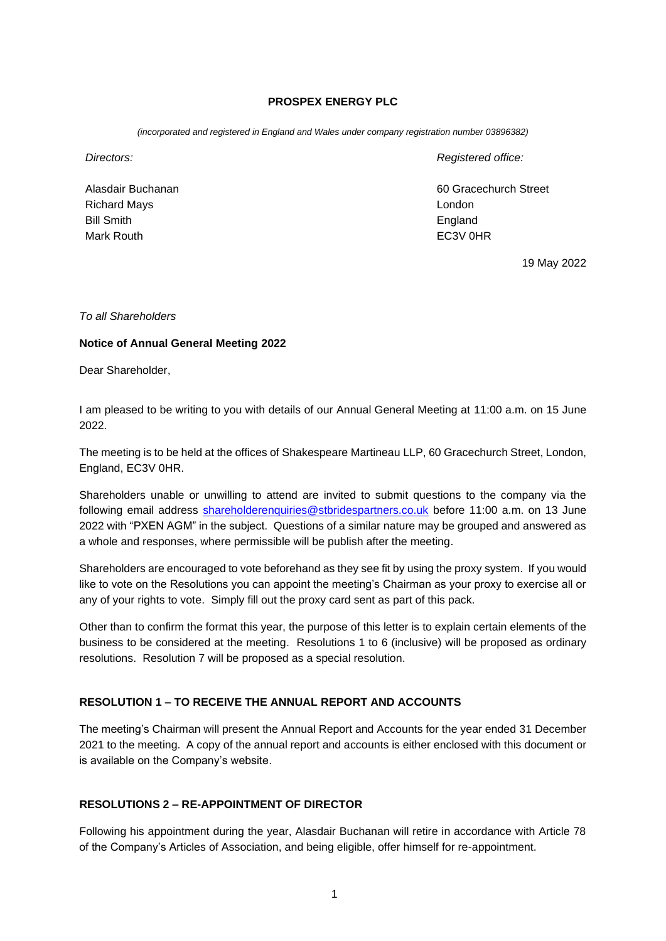### **PROSPEX ENERGY PLC**

*(incorporated and registered in England and Wales under company registration number 03896382)*

Alasdair Buchanan Richard Mays Bill Smith Mark Routh

*Directors: Registered office:*

60 Gracechurch Street London England EC3V 0HR

19 May 2022

#### *To all Shareholders*

#### **Notice of Annual General Meeting 2022**

Dear Shareholder,

I am pleased to be writing to you with details of our Annual General Meeting at 11:00 a.m. on 15 June 2022.

The meeting is to be held at the offices of Shakespeare Martineau LLP, 60 Gracechurch Street, London, England, EC3V 0HR.

Shareholders unable or unwilling to attend are invited to submit questions to the company via the following email address [shareholderenquiries@stbridespartners.co.uk](mailto:shareholderenquiries@stbridespartners.co.uk) before 11:00 a.m. on 13 June 2022 with "PXEN AGM" in the subject. Questions of a similar nature may be grouped and answered as a whole and responses, where permissible will be publish after the meeting.

Shareholders are encouraged to vote beforehand as they see fit by using the proxy system. If you would like to vote on the Resolutions you can appoint the meeting's Chairman as your proxy to exercise all or any of your rights to vote. Simply fill out the proxy card sent as part of this pack.

Other than to confirm the format this year, the purpose of this letter is to explain certain elements of the business to be considered at the meeting. Resolutions 1 to 6 (inclusive) will be proposed as ordinary resolutions. Resolution 7 will be proposed as a special resolution.

#### **RESOLUTION 1 – TO RECEIVE THE ANNUAL REPORT AND ACCOUNTS**

The meeting's Chairman will present the Annual Report and Accounts for the year ended 31 December 2021 to the meeting. A copy of the annual report and accounts is either enclosed with this document or is available on the Company's website.

#### **RESOLUTIONS 2 – RE-APPOINTMENT OF DIRECTOR**

Following his appointment during the year, Alasdair Buchanan will retire in accordance with Article 78 of the Company's Articles of Association, and being eligible, offer himself for re-appointment.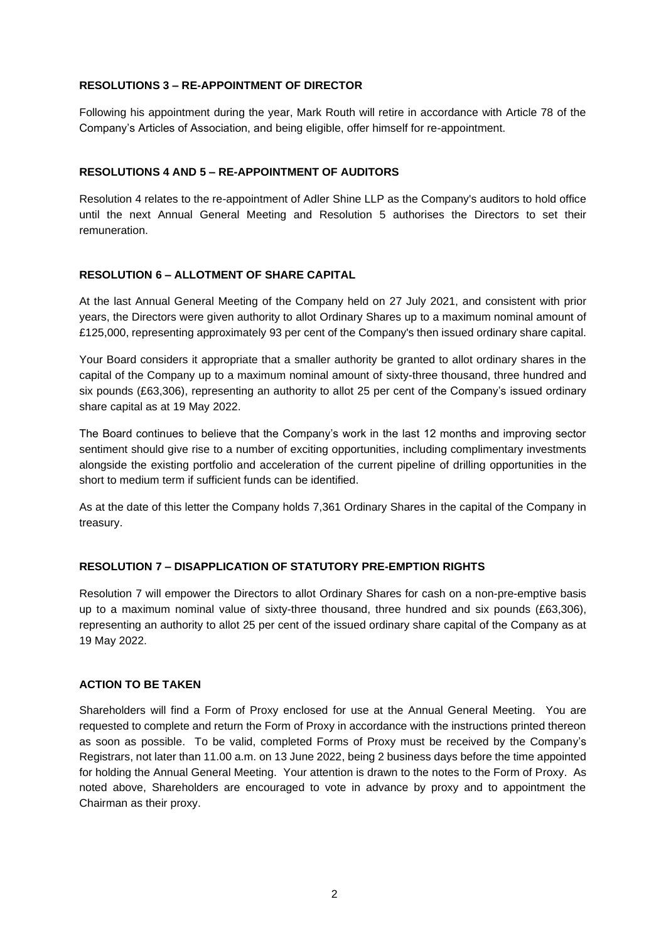### **RESOLUTIONS 3 – RE-APPOINTMENT OF DIRECTOR**

Following his appointment during the year, Mark Routh will retire in accordance with Article 78 of the Company's Articles of Association, and being eligible, offer himself for re-appointment.

## **RESOLUTIONS 4 AND 5 – RE-APPOINTMENT OF AUDITORS**

Resolution 4 relates to the re-appointment of Adler Shine LLP as the Company's auditors to hold office until the next Annual General Meeting and Resolution 5 authorises the Directors to set their remuneration.

#### **RESOLUTION 6 – ALLOTMENT OF SHARE CAPITAL**

At the last Annual General Meeting of the Company held on 27 July 2021, and consistent with prior years, the Directors were given authority to allot Ordinary Shares up to a maximum nominal amount of £125,000, representing approximately 93 per cent of the Company's then issued ordinary share capital.

Your Board considers it appropriate that a smaller authority be granted to allot ordinary shares in the capital of the Company up to a maximum nominal amount of sixty-three thousand, three hundred and six pounds (£63,306), representing an authority to allot 25 per cent of the Company's issued ordinary share capital as at 19 May 2022.

The Board continues to believe that the Company's work in the last 12 months and improving sector sentiment should give rise to a number of exciting opportunities, including complimentary investments alongside the existing portfolio and acceleration of the current pipeline of drilling opportunities in the short to medium term if sufficient funds can be identified.

As at the date of this letter the Company holds 7,361 Ordinary Shares in the capital of the Company in treasury.

# **RESOLUTION 7 – DISAPPLICATION OF STATUTORY PRE-EMPTION RIGHTS**

Resolution 7 will empower the Directors to allot Ordinary Shares for cash on a non-pre-emptive basis up to a maximum nominal value of sixty-three thousand, three hundred and six pounds (£63,306), representing an authority to allot 25 per cent of the issued ordinary share capital of the Company as at 19 May 2022.

#### **ACTION TO BE TAKEN**

Shareholders will find a Form of Proxy enclosed for use at the Annual General Meeting. You are requested to complete and return the Form of Proxy in accordance with the instructions printed thereon as soon as possible. To be valid, completed Forms of Proxy must be received by the Company's Registrars, not later than 11.00 a.m. on 13 June 2022, being 2 business days before the time appointed for holding the Annual General Meeting. Your attention is drawn to the notes to the Form of Proxy. As noted above, Shareholders are encouraged to vote in advance by proxy and to appointment the Chairman as their proxy.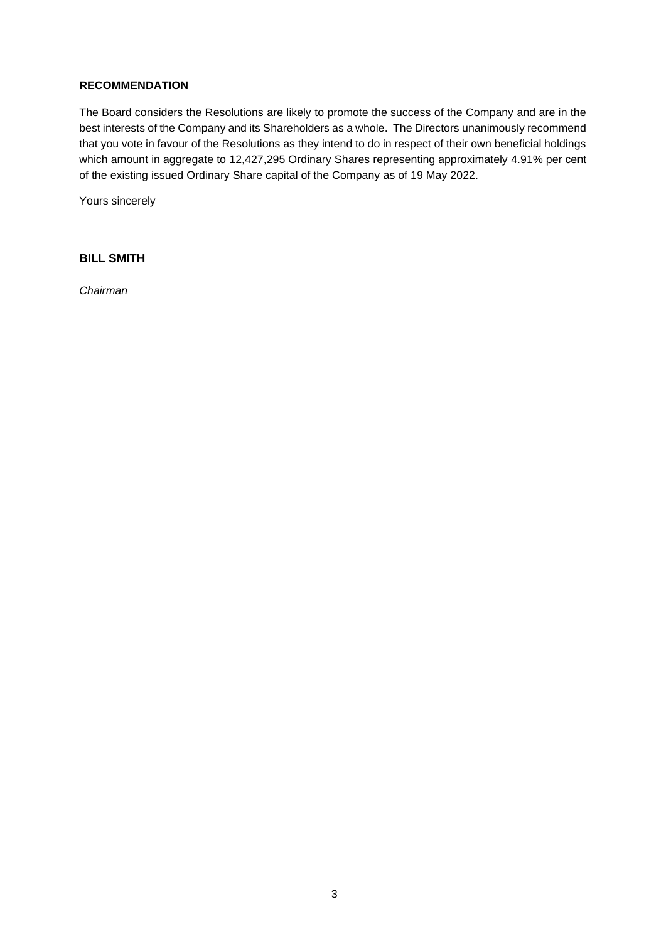#### **RECOMMENDATION**

The Board considers the Resolutions are likely to promote the success of the Company and are in the best interests of the Company and its Shareholders as a whole. The Directors unanimously recommend that you vote in favour of the Resolutions as they intend to do in respect of their own beneficial holdings which amount in aggregate to 12,427,295 Ordinary Shares representing approximately 4.91% per cent of the existing issued Ordinary Share capital of the Company as of 19 May 2022.

Yours sincerely

# **BILL SMITH**

*Chairman*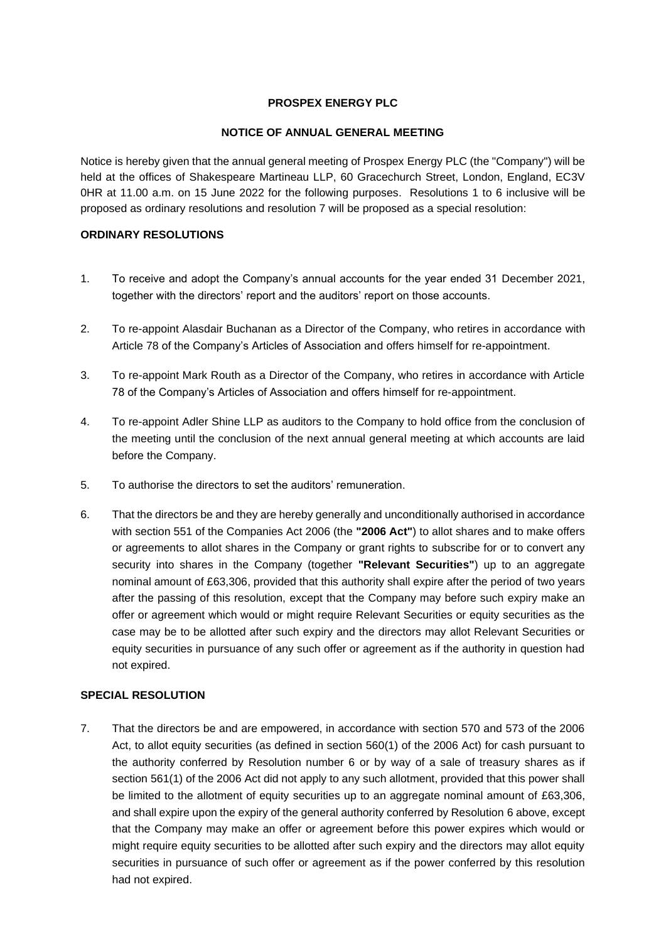## **PROSPEX ENERGY PLC**

## **NOTICE OF ANNUAL GENERAL MEETING**

Notice is hereby given that the annual general meeting of Prospex Energy PLC (the "Company") will be held at the offices of Shakespeare Martineau LLP, 60 Gracechurch Street, London, England, EC3V 0HR at 11.00 a.m. on 15 June 2022 for the following purposes. Resolutions 1 to 6 inclusive will be proposed as ordinary resolutions and resolution 7 will be proposed as a special resolution:

### **ORDINARY RESOLUTIONS**

- 1. To receive and adopt the Company's annual accounts for the year ended 31 December 2021, together with the directors' report and the auditors' report on those accounts.
- 2. To re-appoint Alasdair Buchanan as a Director of the Company, who retires in accordance with Article 78 of the Company's Articles of Association and offers himself for re-appointment.
- 3. To re-appoint Mark Routh as a Director of the Company, who retires in accordance with Article 78 of the Company's Articles of Association and offers himself for re-appointment.
- 4. To re-appoint Adler Shine LLP as auditors to the Company to hold office from the conclusion of the meeting until the conclusion of the next annual general meeting at which accounts are laid before the Company.
- 5. To authorise the directors to set the auditors' remuneration.
- 6. That the directors be and they are hereby generally and unconditionally authorised in accordance with section 551 of the Companies Act 2006 (the **"2006 Act"**) to allot shares and to make offers or agreements to allot shares in the Company or grant rights to subscribe for or to convert any security into shares in the Company (together **"Relevant Securities"**) up to an aggregate nominal amount of £63,306, provided that this authority shall expire after the period of two years after the passing of this resolution, except that the Company may before such expiry make an offer or agreement which would or might require Relevant Securities or equity securities as the case may be to be allotted after such expiry and the directors may allot Relevant Securities or equity securities in pursuance of any such offer or agreement as if the authority in question had not expired.

# **SPECIAL RESOLUTION**

7. That the directors be and are empowered, in accordance with section 570 and 573 of the 2006 Act, to allot equity securities (as defined in section 560(1) of the 2006 Act) for cash pursuant to the authority conferred by Resolution number 6 or by way of a sale of treasury shares as if section 561(1) of the 2006 Act did not apply to any such allotment, provided that this power shall be limited to the allotment of equity securities up to an aggregate nominal amount of £63,306, and shall expire upon the expiry of the general authority conferred by Resolution 6 above, except that the Company may make an offer or agreement before this power expires which would or might require equity securities to be allotted after such expiry and the directors may allot equity securities in pursuance of such offer or agreement as if the power conferred by this resolution had not expired.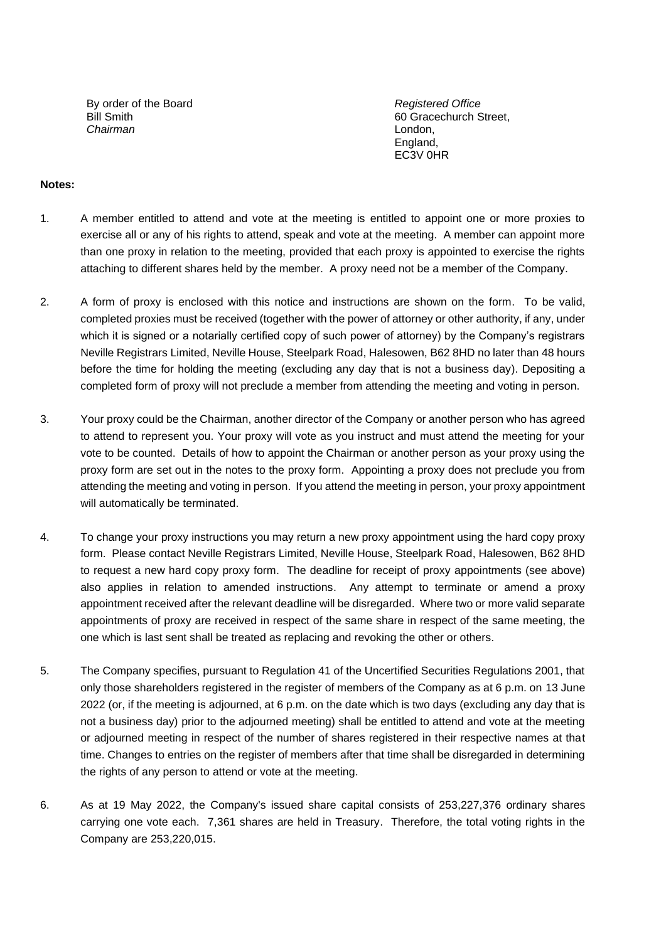By order of the Board *Registered Office* Bill Smith *Chairman*

60 Gracechurch Street, London, England, EC3V 0HR

#### **Notes:**

- 1. A member entitled to attend and vote at the meeting is entitled to appoint one or more proxies to exercise all or any of his rights to attend, speak and vote at the meeting. A member can appoint more than one proxy in relation to the meeting, provided that each proxy is appointed to exercise the rights attaching to different shares held by the member. A proxy need not be a member of the Company.
- 2. A form of proxy is enclosed with this notice and instructions are shown on the form. To be valid, completed proxies must be received (together with the power of attorney or other authority, if any, under which it is signed or a notarially certified copy of such power of attorney) by the Company's registrars Neville Registrars Limited, Neville House, Steelpark Road, Halesowen, B62 8HD no later than 48 hours before the time for holding the meeting (excluding any day that is not a business day). Depositing a completed form of proxy will not preclude a member from attending the meeting and voting in person.
- 3. Your proxy could be the Chairman, another director of the Company or another person who has agreed to attend to represent you. Your proxy will vote as you instruct and must attend the meeting for your vote to be counted. Details of how to appoint the Chairman or another person as your proxy using the proxy form are set out in the notes to the proxy form. Appointing a proxy does not preclude you from attending the meeting and voting in person. If you attend the meeting in person, your proxy appointment will automatically be terminated.
- 4. To change your proxy instructions you may return a new proxy appointment using the hard copy proxy form. Please contact Neville Registrars Limited, Neville House, Steelpark Road, Halesowen, B62 8HD to request a new hard copy proxy form. The deadline for receipt of proxy appointments (see above) also applies in relation to amended instructions. Any attempt to terminate or amend a proxy appointment received after the relevant deadline will be disregarded. Where two or more valid separate appointments of proxy are received in respect of the same share in respect of the same meeting, the one which is last sent shall be treated as replacing and revoking the other or others.
- 5. The Company specifies, pursuant to Regulation 41 of the Uncertified Securities Regulations 2001, that only those shareholders registered in the register of members of the Company as at 6 p.m. on 13 June 2022 (or, if the meeting is adjourned, at 6 p.m. on the date which is two days (excluding any day that is not a business day) prior to the adjourned meeting) shall be entitled to attend and vote at the meeting or adjourned meeting in respect of the number of shares registered in their respective names at that time. Changes to entries on the register of members after that time shall be disregarded in determining the rights of any person to attend or vote at the meeting.
- 6. As at 19 May 2022, the Company's issued share capital consists of 253,227,376 ordinary shares carrying one vote each. 7,361 shares are held in Treasury. Therefore, the total voting rights in the Company are 253,220,015.